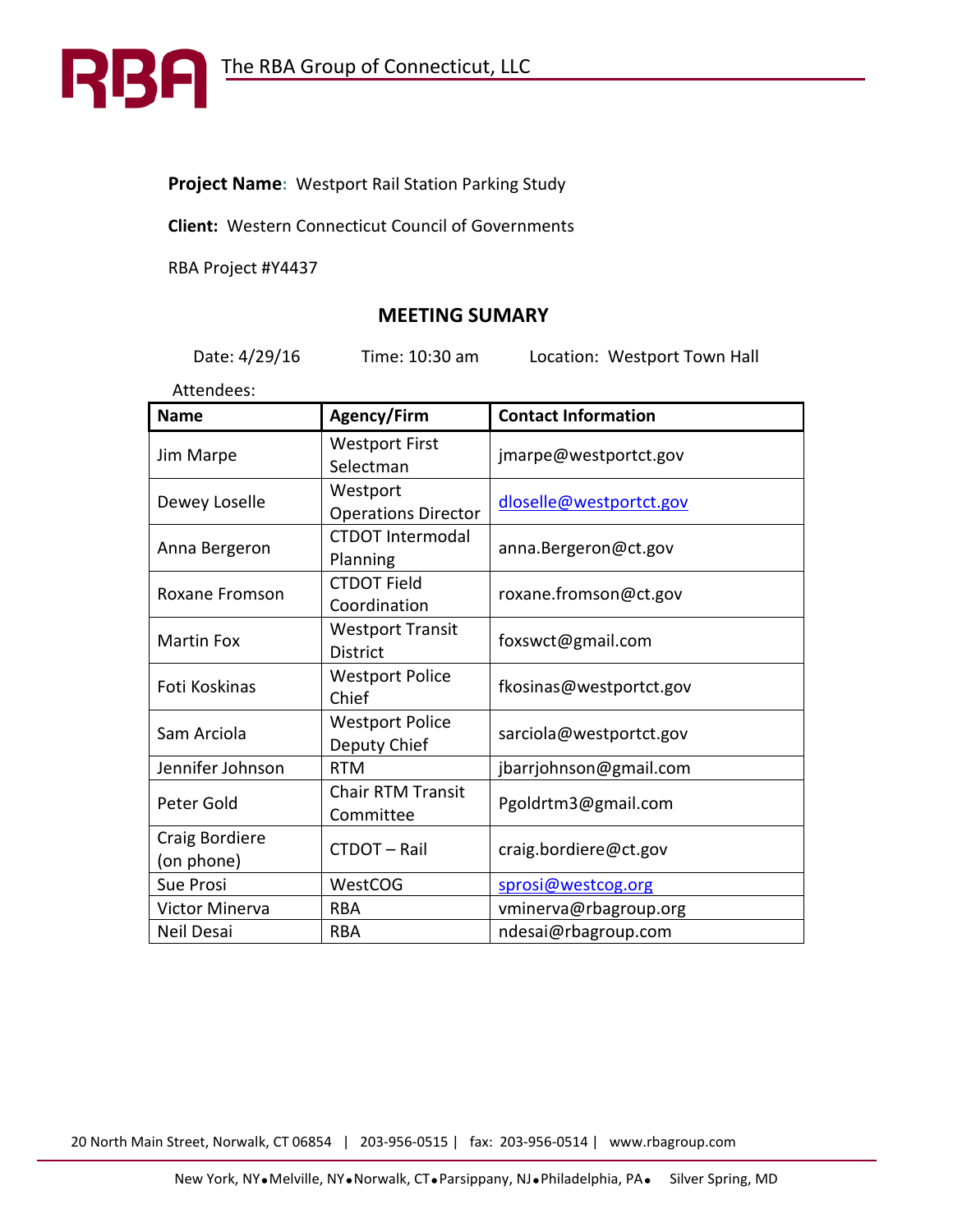# **Project Name:** Westport Rail Station Parking Study

**Client:** Western Connecticut Council of Governments

RBA Project #Y4437

R

B

# **MEETING SUMARY**

Date: 4/29/16 Time: 10:30 am Location: Westport Town Hall

Attendees:

| <b>Name</b>                  | <b>Agency/Firm</b>                         | <b>Contact Information</b> |
|------------------------------|--------------------------------------------|----------------------------|
| Jim Marpe                    | <b>Westport First</b><br>Selectman         | jmarpe@westportct.gov      |
| Dewey Loselle                | Westport<br><b>Operations Director</b>     | dloselle@westportct.gov    |
| Anna Bergeron                | <b>CTDOT Intermodal</b><br>Planning        | anna.Bergeron@ct.gov       |
| Roxane Fromson               | <b>CTDOT Field</b><br>Coordination         | roxane.fromson@ct.gov      |
| <b>Martin Fox</b>            | <b>Westport Transit</b><br><b>District</b> | foxswct@gmail.com          |
| Foti Koskinas                | <b>Westport Police</b><br>Chief            | fkosinas@westportct.gov    |
| Sam Arciola                  | <b>Westport Police</b><br>Deputy Chief     | sarciola@westportct.gov    |
| Jennifer Johnson             | <b>RTM</b>                                 | jbarrjohnson@gmail.com     |
| Peter Gold                   | <b>Chair RTM Transit</b><br>Committee      | Pgoldrtm3@gmail.com        |
| Craig Bordiere<br>(on phone) | CTDOT-Rail                                 | craig.bordiere@ct.gov      |
| Sue Prosi                    | WestCOG                                    | sprosi@westcog.org         |
| <b>Victor Minerva</b>        | <b>RBA</b>                                 | vminerva@rbagroup.org      |
| Neil Desai                   | <b>RBA</b>                                 | ndesai@rbagroup.com        |

20 North Main Street, Norwalk, CT 06854 | 203-956-0515 | fax: 203-956-0514 | www.rbagroup.com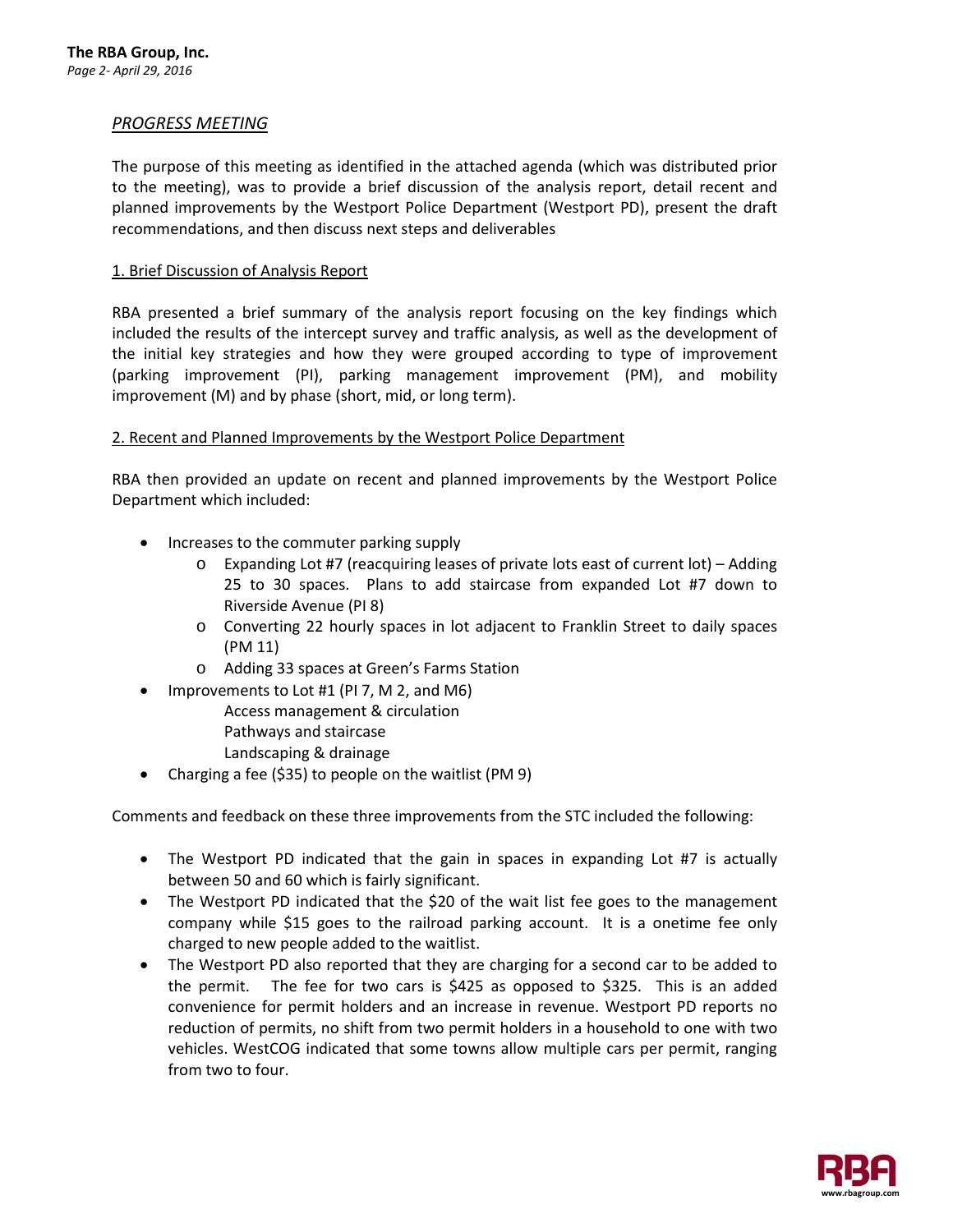# *PROGRESS MEETING*

The purpose of this meeting as identified in the attached agenda (which was distributed prior to the meeting), was to provide a brief discussion of the analysis report, detail recent and planned improvements by the Westport Police Department (Westport PD), present the draft recommendations, and then discuss next steps and deliverables

#### 1. Brief Discussion of Analysis Report

RBA presented a brief summary of the analysis report focusing on the key findings which included the results of the intercept survey and traffic analysis, as well as the development of the initial key strategies and how they were grouped according to type of improvement (parking improvement (PI), parking management improvement (PM), and mobility improvement (M) and by phase (short, mid, or long term).

#### 2. Recent and Planned Improvements by the Westport Police Department

RBA then provided an update on recent and planned improvements by the Westport Police Department which included:

- Increases to the commuter parking supply
	- o Expanding Lot #7 (reacquiring leases of private lots east of current lot) Adding 25 to 30 spaces. Plans to add staircase from expanded Lot #7 down to Riverside Avenue (PI 8)
	- o Converting 22 hourly spaces in lot adjacent to Franklin Street to daily spaces (PM 11)
	- o Adding 33 spaces at Green's Farms Station
- Improvements to Lot #1 (PI 7, M 2, and M6)
	- Access management & circulation
	- Pathways and staircase
	- Landscaping & drainage
- Charging a fee (\$35) to people on the waitlist (PM 9)

Comments and feedback on these three improvements from the STC included the following:

- The Westport PD indicated that the gain in spaces in expanding Lot #7 is actually between 50 and 60 which is fairly significant.
- The Westport PD indicated that the \$20 of the wait list fee goes to the management company while \$15 goes to the railroad parking account. It is a onetime fee only charged to new people added to the waitlist.
- The Westport PD also reported that they are charging for a second car to be added to the permit. The fee for two cars is \$425 as opposed to \$325. This is an added convenience for permit holders and an increase in revenue. Westport PD reports no reduction of permits, no shift from two permit holders in a household to one with two vehicles. WestCOG indicated that some towns allow multiple cars per permit, ranging from two to four.

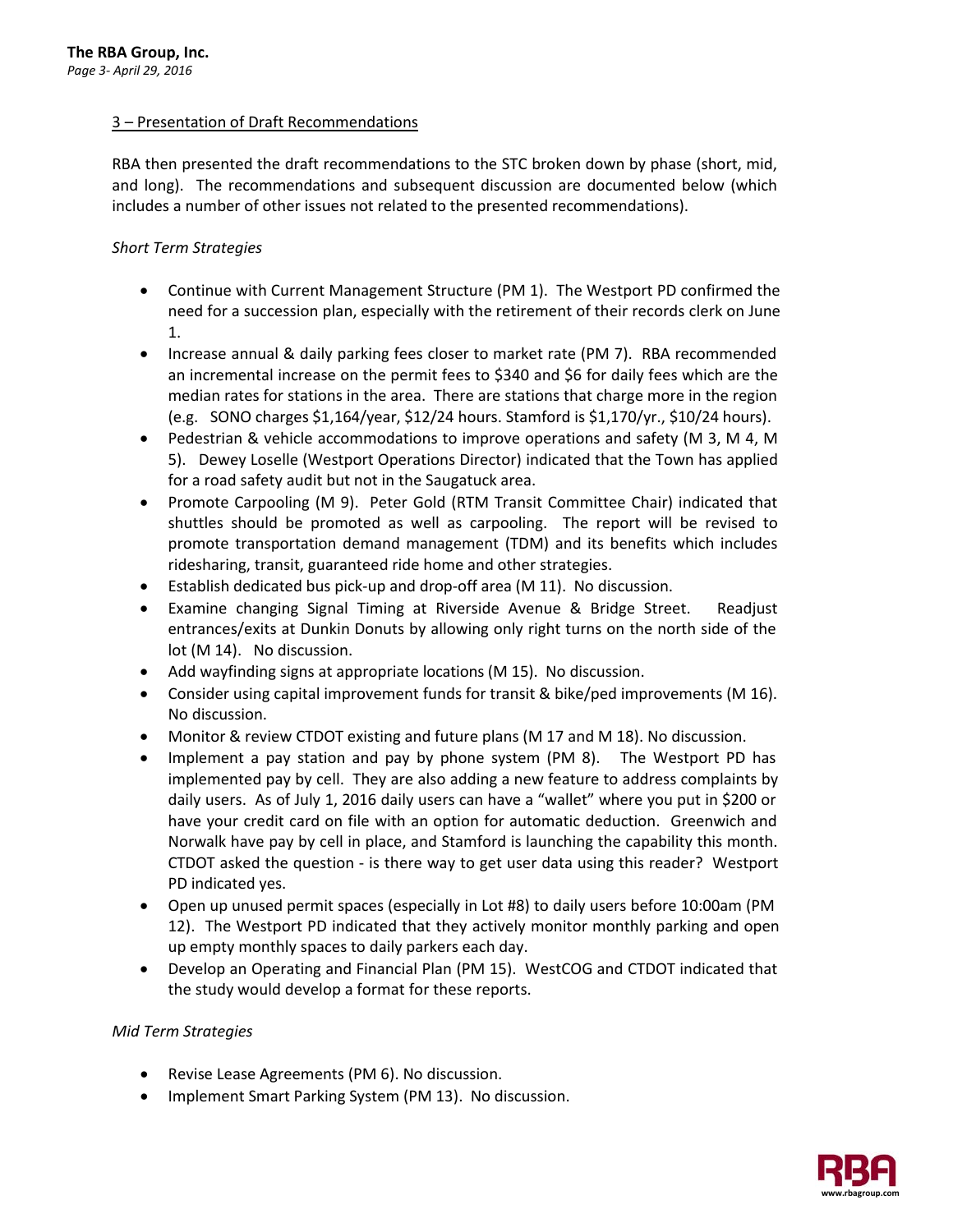# 3 – Presentation of Draft Recommendations

RBA then presented the draft recommendations to the STC broken down by phase (short, mid, and long). The recommendations and subsequent discussion are documented below (which includes a number of other issues not related to the presented recommendations).

# *Short Term Strategies*

- Continue with Current Management Structure (PM 1). The Westport PD confirmed the need for a succession plan, especially with the retirement of their records clerk on June 1.
- Increase annual & daily parking fees closer to market rate (PM 7). RBA recommended an incremental increase on the permit fees to \$340 and \$6 for daily fees which are the median rates for stations in the area. There are stations that charge more in the region (e.g. SONO charges \$1,164/year, \$12/24 hours. Stamford is \$1,170/yr., \$10/24 hours).
- Pedestrian & vehicle accommodations to improve operations and safety (M 3, M 4, M 5). Dewey Loselle (Westport Operations Director) indicated that the Town has applied for a road safety audit but not in the Saugatuck area.
- Promote Carpooling (M 9). Peter Gold (RTM Transit Committee Chair) indicated that shuttles should be promoted as well as carpooling. The report will be revised to promote transportation demand management (TDM) and its benefits which includes ridesharing, transit, guaranteed ride home and other strategies.
- Establish dedicated bus pick-up and drop-off area (M 11). No discussion.
- Examine changing Signal Timing at Riverside Avenue & Bridge Street. Readjust entrances/exits at Dunkin Donuts by allowing only right turns on the north side of the lot (M 14). No discussion.
- Add wayfinding signs at appropriate locations (M 15). No discussion.
- Consider using capital improvement funds for transit & bike/ped improvements (M 16). No discussion.
- Monitor & review CTDOT existing and future plans (M 17 and M 18). No discussion.
- Implement a pay station and pay by phone system (PM 8). The Westport PD has implemented pay by cell. They are also adding a new feature to address complaints by daily users. As of July 1, 2016 daily users can have a "wallet" where you put in \$200 or have your credit card on file with an option for automatic deduction. Greenwich and Norwalk have pay by cell in place, and Stamford is launching the capability this month. CTDOT asked the question - is there way to get user data using this reader? Westport PD indicated yes.
- Open up unused permit spaces (especially in Lot #8) to daily users before 10:00am (PM 12). The Westport PD indicated that they actively monitor monthly parking and open up empty monthly spaces to daily parkers each day.
- Develop an Operating and Financial Plan (PM 15). WestCOG and CTDOT indicated that the study would develop a format for these reports.

## *Mid Term Strategies*

- Revise Lease Agreements (PM 6). No discussion.
- Implement Smart Parking System (PM 13). No discussion.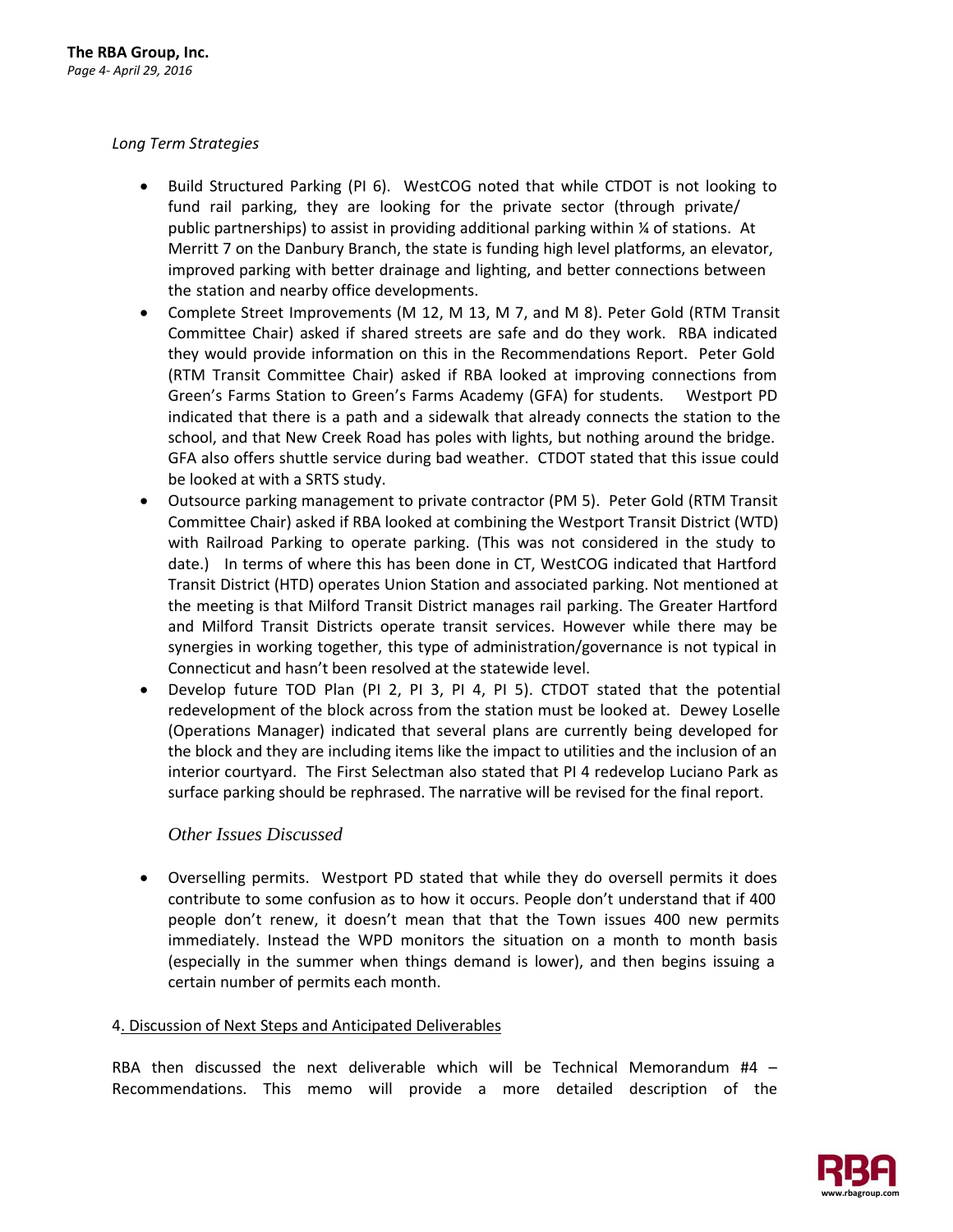# *Long Term Strategies*

- Build Structured Parking (PI 6). WestCOG noted that while CTDOT is not looking to fund rail parking, they are looking for the private sector (through private/ public partnerships) to assist in providing additional parking within ¼ of stations. At Merritt 7 on the Danbury Branch, the state is funding high level platforms, an elevator, improved parking with better drainage and lighting, and better connections between the station and nearby office developments.
- Complete Street Improvements (M 12, M 13, M 7, and M 8). Peter Gold (RTM Transit Committee Chair) asked if shared streets are safe and do they work. RBA indicated they would provide information on this in the Recommendations Report. Peter Gold (RTM Transit Committee Chair) asked if RBA looked at improving connections from Green's Farms Station to Green's Farms Academy (GFA) for students. Westport PD indicated that there is a path and a sidewalk that already connects the station to the school, and that New Creek Road has poles with lights, but nothing around the bridge. GFA also offers shuttle service during bad weather. CTDOT stated that this issue could be looked at with a SRTS study.
- Outsource parking management to private contractor (PM 5). Peter Gold (RTM Transit Committee Chair) asked if RBA looked at combining the Westport Transit District (WTD) with Railroad Parking to operate parking. (This was not considered in the study to date.) In terms of where this has been done in CT, WestCOG indicated that Hartford Transit District (HTD) operates Union Station and associated parking. Not mentioned at the meeting is that Milford Transit District manages rail parking. The Greater Hartford and Milford Transit Districts operate transit services. However while there may be synergies in working together, this type of administration/governance is not typical in Connecticut and hasn't been resolved at the statewide level.
- Develop future TOD Plan (PI 2, PI 3, PI 4, PI 5). CTDOT stated that the potential redevelopment of the block across from the station must be looked at. Dewey Loselle (Operations Manager) indicated that several plans are currently being developed for the block and they are including items like the impact to utilities and the inclusion of an interior courtyard. The First Selectman also stated that PI 4 redevelop Luciano Park as surface parking should be rephrased. The narrative will be revised for the final report.

# *Other Issues Discussed*

• Overselling permits. Westport PD stated that while they do oversell permits it does contribute to some confusion as to how it occurs. People don't understand that if 400 people don't renew, it doesn't mean that that the Town issues 400 new permits immediately. Instead the WPD monitors the situation on a month to month basis (especially in the summer when things demand is lower), and then begins issuing a certain number of permits each month.

## 4. Discussion of Next Steps and Anticipated Deliverables

RBA then discussed the next deliverable which will be Technical Memorandum #4 – Recommendations. This memo will provide a more detailed description of the

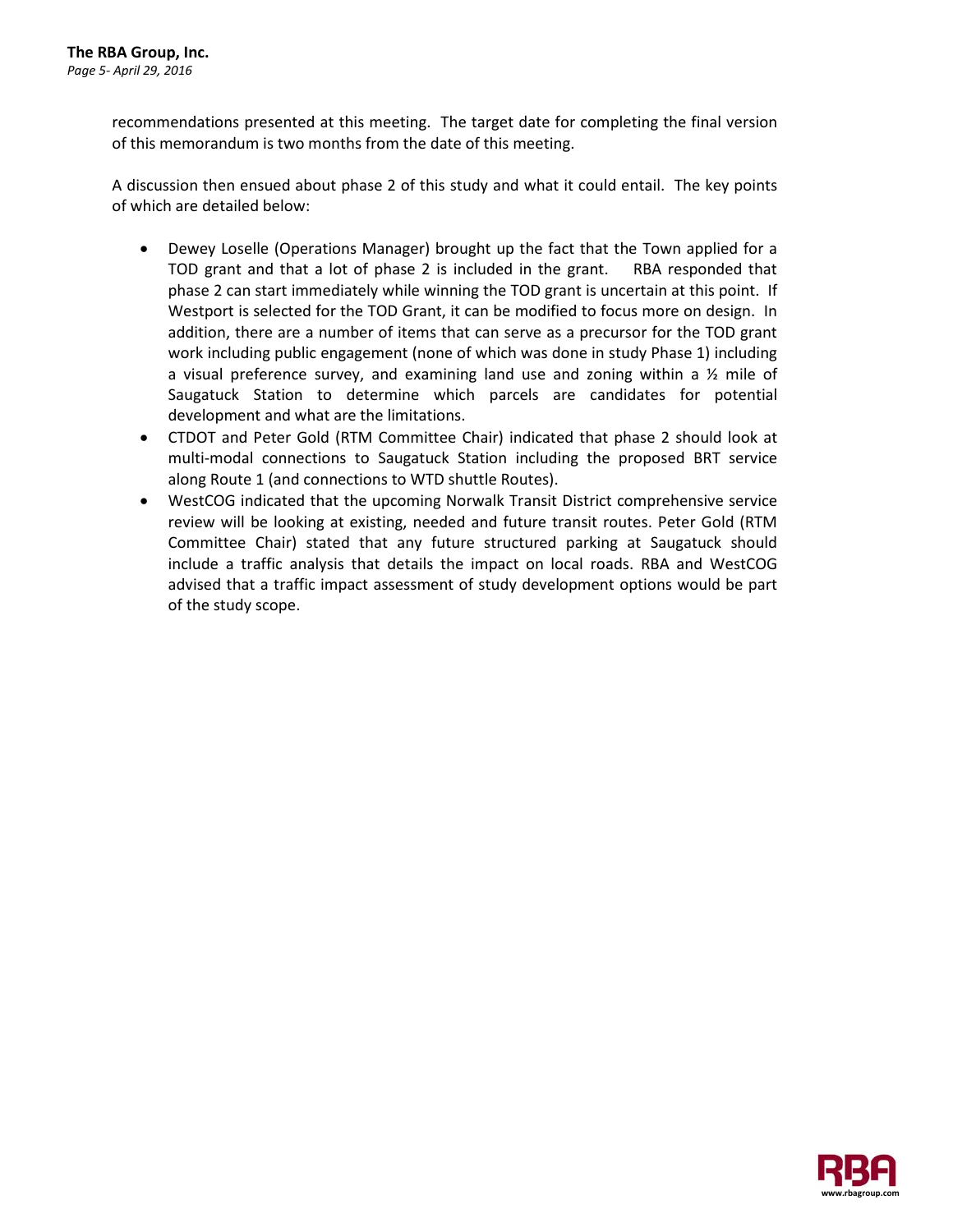recommendations presented at this meeting. The target date for completing the final version of this memorandum is two months from the date of this meeting.

A discussion then ensued about phase 2 of this study and what it could entail. The key points of which are detailed below:

- Dewey Loselle (Operations Manager) brought up the fact that the Town applied for a TOD grant and that a lot of phase 2 is included in the grant. RBA responded that phase 2 can start immediately while winning the TOD grant is uncertain at this point. If Westport is selected for the TOD Grant, it can be modified to focus more on design. In addition, there are a number of items that can serve as a precursor for the TOD grant work including public engagement (none of which was done in study Phase 1) including a visual preference survey, and examining land use and zoning within a  $\frac{1}{2}$  mile of Saugatuck Station to determine which parcels are candidates for potential development and what are the limitations.
- CTDOT and Peter Gold (RTM Committee Chair) indicated that phase 2 should look at multi-modal connections to Saugatuck Station including the proposed BRT service along Route 1 (and connections to WTD shuttle Routes).
- WestCOG indicated that the upcoming Norwalk Transit District comprehensive service review will be looking at existing, needed and future transit routes. Peter Gold (RTM Committee Chair) stated that any future structured parking at Saugatuck should include a traffic analysis that details the impact on local roads. RBA and WestCOG advised that a traffic impact assessment of study development options would be part of the study scope.

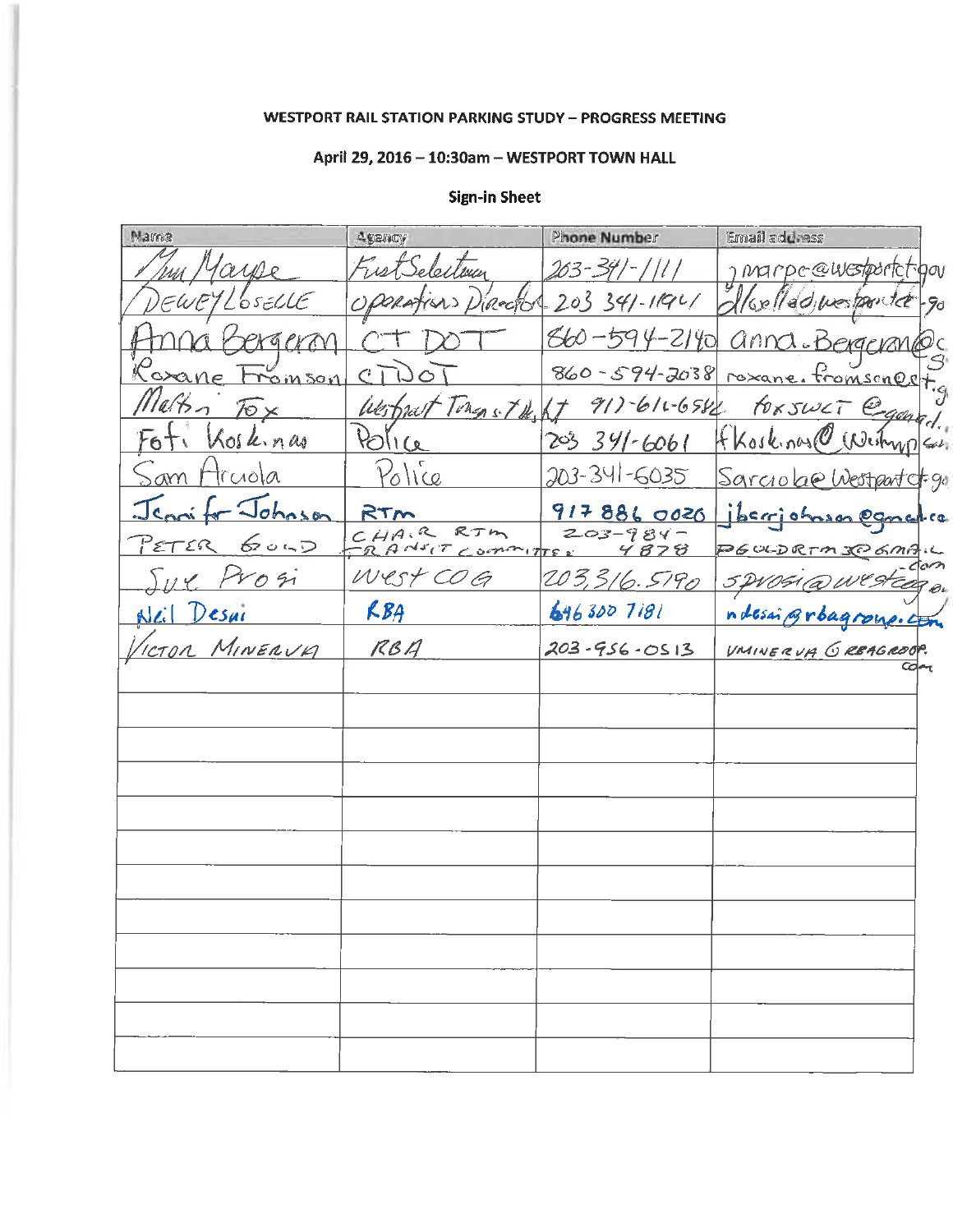#### **WESTPORT RAIL STATION PARKING STUDY - PROGRESS MEETING**

# April 29, 2016 - 10:30am - WESTPORT TOWN HALL

#### Email address Name **Phone Number** Agency rior  $263$ marpe@westporte hun hou 05ELLE  $203$  $341 - 11921$ inector adimestomice 9d  $560 -$ 2140 860 94-2038  $\epsilon$ 3 in Soi roxan omsono 917-611-6582 Johns Fl llé toxswci fkoskings  $R_{\text{O}}$  $391 - 6061$ 203 Neihn,  $olk.n\omega$  $\mathcal{L}$  $P_{0}$ lice 203-341-6035 ciola -96 9178860020 RTM  $0.50$ CHAIR RTM  $203 - 984 -$ କ୍ତା  $A$ NSCT  $\sim$  ormany ے ∠ ⊂ つぷ West COG 203,316.5190  $05i$  $RBA$ 6463007181 esar ndesai Broagroup. MINERVA  $RBA$  $203 - 956 - 0513$ <u>TON</u> VMINERUA GREAGROOP.

#### **Sign-in Sheet**